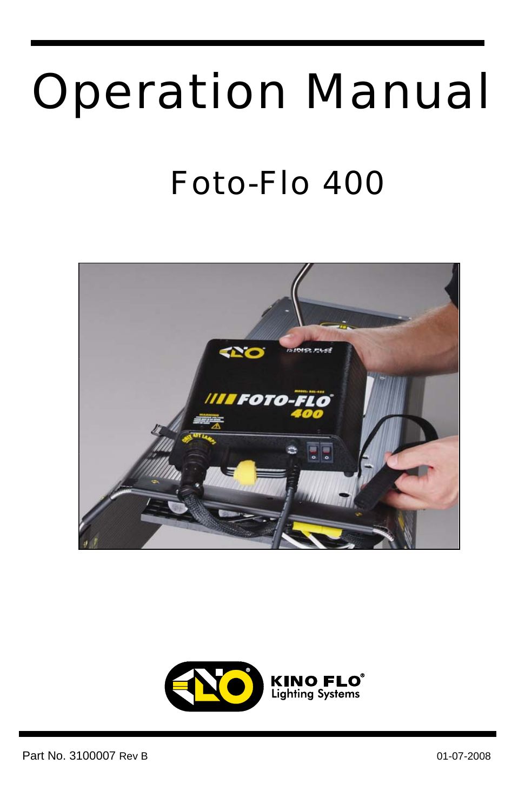# Operation Manual

### Foto-Flo 400



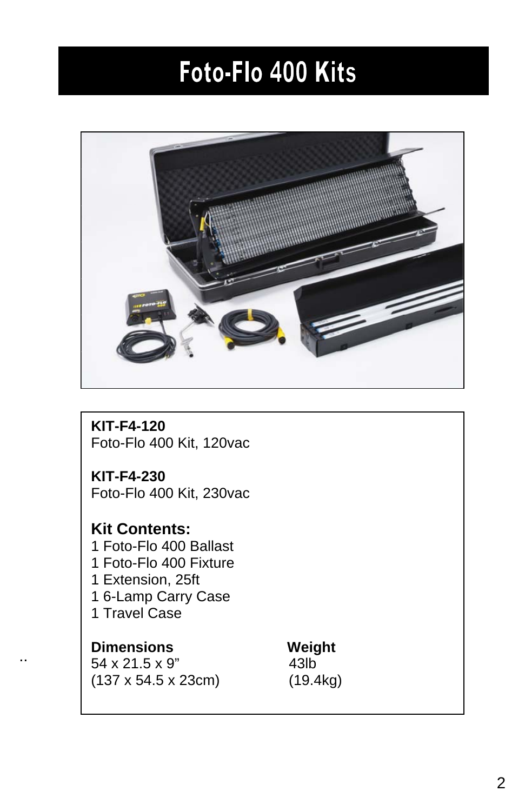#### Foto-Flo 400 Kits



**KIT-F4-120**  Foto-Flo 400 Kit, 120vac

**KIT-F4-230**  Foto-Flo 400 Kit, 230vac

#### **Kit Contents:**  1 Foto-Flo 400 Ballast

1 Foto-Flo 400 Fixture 1 Extension, 25ft 1 6-Lamp Carry Case 1 Travel Case

#### **Dimensions Weight**

..

54 x 21.5 x 9" 43lb (137 x 54.5 x 23cm) (19.4kg)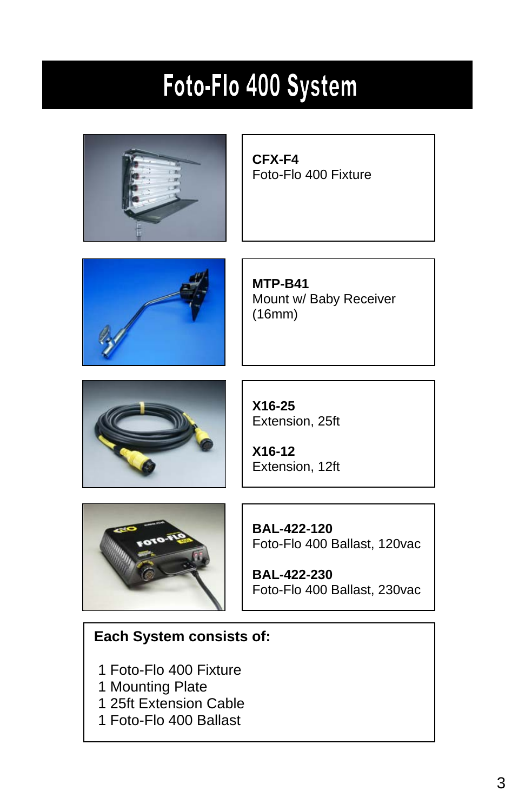### Foto-Flo 400 System



**CFX-F4**  Foto-Flo 400 Fixture



**MTP-B41**  Mount w/ Baby Receiver (16mm)



**X16-25**  Extension, 25ft

**X16-12**  Extension, 12ft



**BAL-422-120**  Foto-Flo 400 Ballast, 120vac

**BAL-422-230**  Foto-Flo 400 Ballast, 230vac

#### **Each System consists of:**

- 1 Foto-Flo 400 Fixture
- 1 Mounting Plate
- 1 25ft Extension Cable
- 1 Foto-Flo 400 Ballast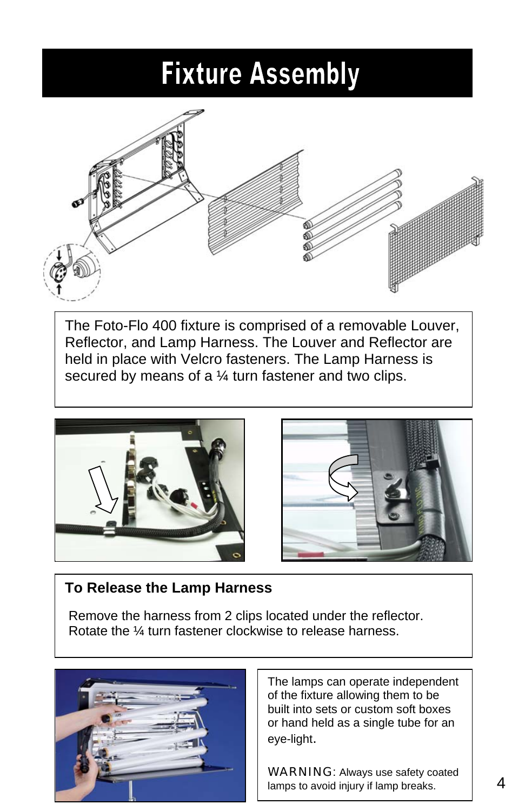#### **Fixture Assembly**



The Foto-Flo 400 fixture is comprised of a removable Louver, Reflector, and Lamp Harness. The Louver and Reflector are held in place with Velcro fasteners. The Lamp Harness is secured by means of a 1/4 turn fastener and two clips.





#### **To Release the Lamp Harness**

 Remove the harness from 2 clips located under the reflector. Rotate the ¼ turn fastener clockwise to release harness.



The lamps can operate independent of the fixture allowing them to be built into sets or custom soft boxes or hand held as a single tube for an eye-light.

WARNING: Always use safety coated lamps to avoid injury if lamp breaks.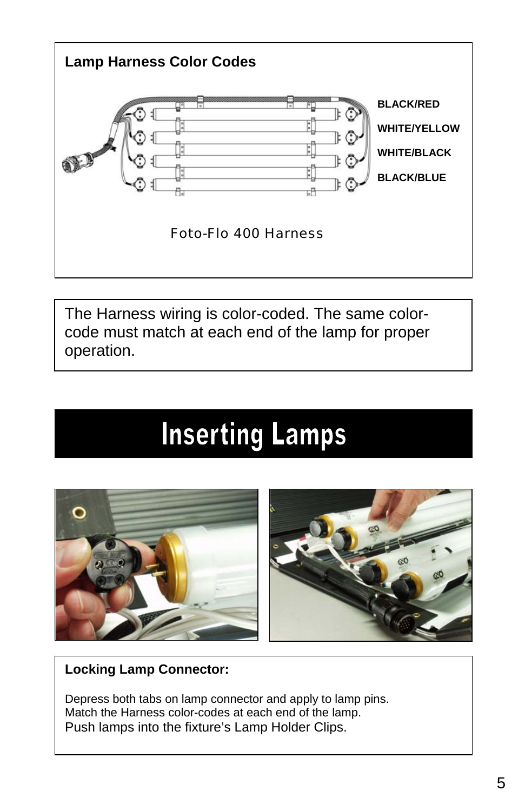

The Harness wiring is color-coded. The same colorcode must match at each end of the lamp for proper operation.

#### **Inserting Lamps**



#### **Locking Lamp Connector:**

Depress both tabs on lamp connector and apply to lamp pins. Match the Harness color-codes at each end of the lamp. Push lamps into the fixture's Lamp Holder Clips.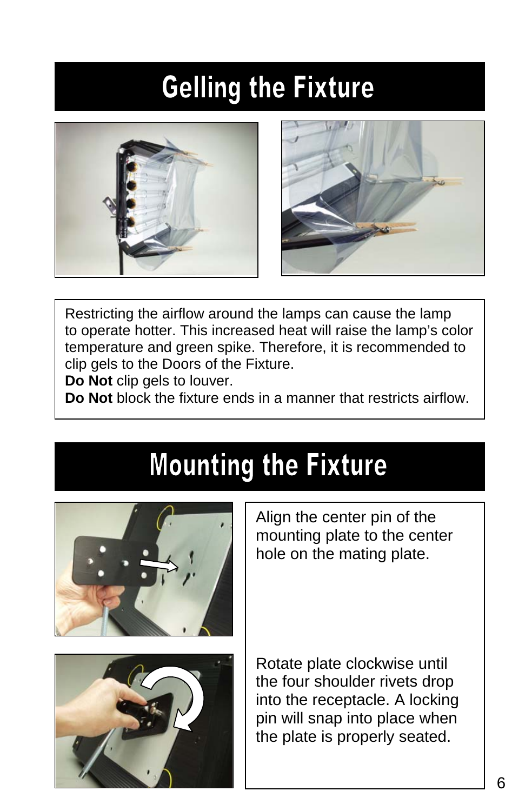### **Gelling the Fixture**





Restricting the airflow around the lamps can cause the lamp to operate hotter. This increased heat will raise the lamp's color temperature and green spike. Therefore, it is recommended to clip gels to the Doors of the Fixture.

**Do Not** clip gels to louver.

**Do Not** block the fixture ends in a manner that restricts airflow.

#### **Mounting the Fixture**



Align the center pin of the mounting plate to the center hole on the mating plate.

Rotate plate clockwise until the four shoulder rivets drop into the receptacle. A locking pin will snap into place when the plate is properly seated.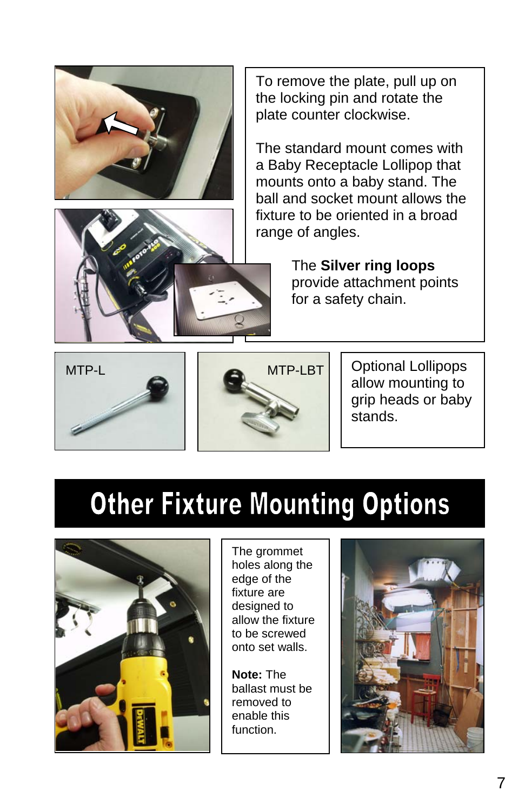



To remove the plate, pull up on the locking pin and rotate the plate counter clockwise.

The standard mount comes with a Baby Receptacle Lollipop that mounts onto a baby stand. The ball and socket mount allows the fixture to be oriented in a broad range of angles.

> The **Silver ring loops** provide attachment points for a safety chain.





Optional Lollipops allow mounting to grip heads or baby stands.

#### **Other Fixture Mounting Options**



The grommet holes along the edge of the fixture are designed to allow the fixture to be screwed onto set walls.

**Note:** The ballast must be removed to enable this function.

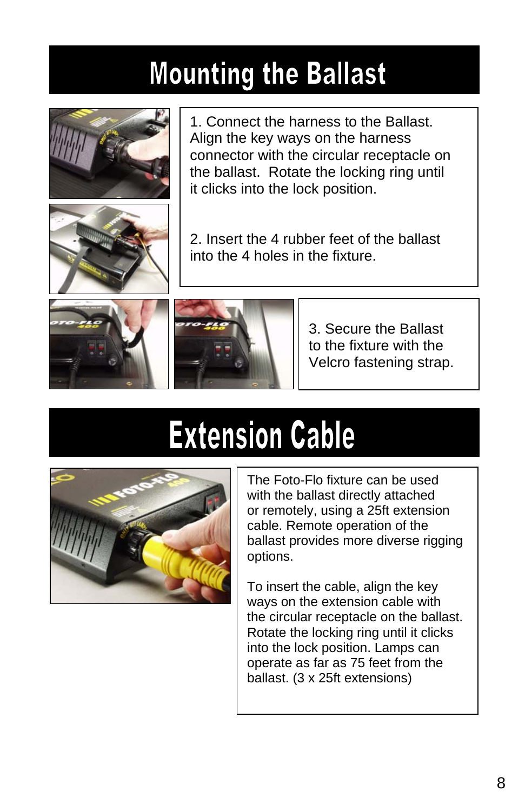### **Mounting the Ballast**



1. Connect the harness to the Ballast. Align the key ways on the harness connector with the circular receptacle on the ballast. Rotate the locking ring until it clicks into the lock position.



2. Insert the 4 rubber feet of the ballast into the 4 holes in the fixture.





3. Secure the Ballast to the fixture with the Velcro fastening strap.

## **Extension Cable**



The Foto-Flo fixture can be used with the ballast directly attached or remotely, using a 25ft extension cable. Remote operation of the ballast provides more diverse rigging options.

To insert the cable, align the key ways on the extension cable with the circular receptacle on the ballast. Rotate the locking ring until it clicks into the lock position. Lamps can operate as far as 75 feet from the ballast. (3 x 25ft extensions)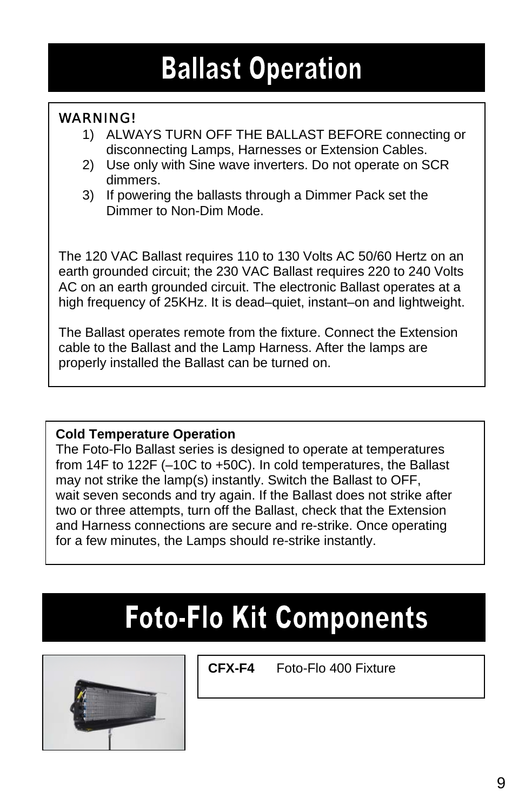### **Ballast Operation**

#### WARNING!

- 1) ALWAYS TURN OFF THE BALLAST BEFORE connecting or disconnecting Lamps, Harnesses or Extension Cables.
- 2) Use only with Sine wave inverters. Do not operate on SCR dimmers.
- 3) If powering the ballasts through a Dimmer Pack set the Dimmer to Non-Dim Mode.

The 120 VAC Ballast requires 110 to 130 Volts AC 50/60 Hertz on an earth grounded circuit; the 230 VAC Ballast requires 220 to 240 Volts AC on an earth grounded circuit. The electronic Ballast operates at a high frequency of 25KHz. It is dead–quiet, instant–on and lightweight.

The Ballast operates remote from the fixture. Connect the Extension cable to the Ballast and the Lamp Harness. After the lamps are properly installed the Ballast can be turned on.

#### **Cold Temperature Operation**

The Foto-Flo Ballast series is designed to operate at temperatures from 14F to 122F (–10C to +50C). In cold temperatures, the Ballast may not strike the lamp(s) instantly. Switch the Ballast to OFF, wait seven seconds and try again. If the Ballast does not strike after two or three attempts, turn off the Ballast, check that the Extension and Harness connections are secure and re-strike. Once operating for a few minutes, the Lamps should re-strike instantly.

### **Foto-Flo Kit Components**



**CFX-F4** Foto-Flo 400 Fixture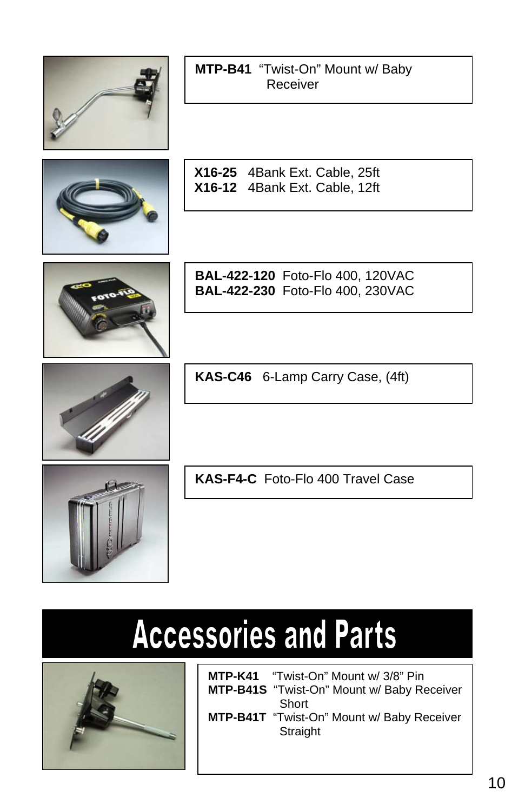

|          | MTP-B41 "Twist-On" Mount w/ Baby |
|----------|----------------------------------|
| Receiver |                                  |



**X16-25** 4Bank Ext. Cable, 25ft **X16-12** 4Bank Ext. Cable, 12ft



**BAL-422-120** Foto-Flo 400, 120VAC **BAL-422-230** Foto-Flo 400, 230VAC

**KAS-C46** 6-Lamp Carry Case, (4ft)

**KAS-F4-C** Foto-Flo 400 Travel Case

## **Accessories and Parts**



| <b>MTP-K41</b> "Twist-On" Mount w/ 3/8" Pin                   |
|---------------------------------------------------------------|
| <b>MTP-B41S</b> "Twist-On" Mount w/ Baby Receiver             |
| Short                                                         |
| <b>MTP-B41T</b> "Twist-On" Mount w/ Baby Receiver<br>Straight |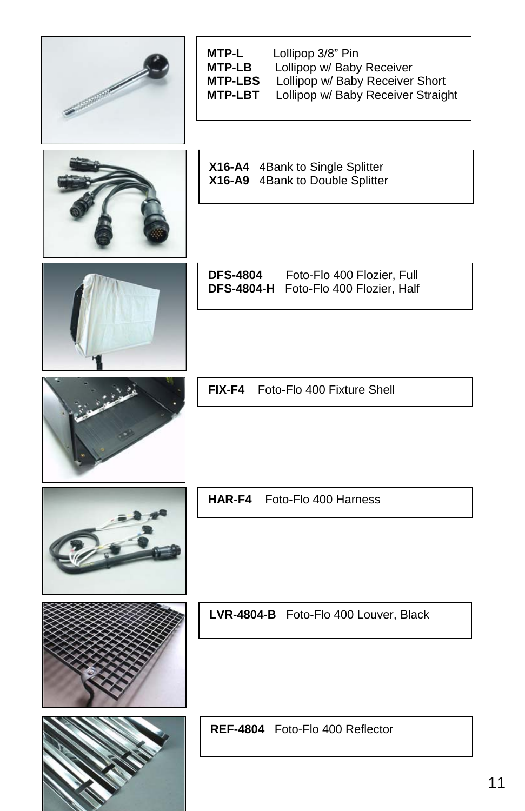| <b>CONTRACTOR</b> | Lollipop 3/8" Pin<br>MTP-L<br>Lollipop w/ Baby Receiver<br><b>MTP-LB</b><br>Lollipop w/ Baby Receiver Short<br><b>MTP-LBS</b><br><b>MTP-LBT</b><br>Lollipop w/ Baby Receiver Straight |
|-------------------|---------------------------------------------------------------------------------------------------------------------------------------------------------------------------------------|
|                   | X16-A4 4Bank to Single Splitter<br>X16-A9 4Bank to Double Splitter                                                                                                                    |
|                   | <b>DFS-4804</b><br>Foto-Flo 400 Flozier, Full<br>DFS-4804-H Foto-Flo 400 Flozier, Half                                                                                                |
|                   | FIX-F4 Foto-Flo 400 Fixture Shell                                                                                                                                                     |
|                   | HAR-F4 Foto-Flo 400 Harness                                                                                                                                                           |
|                   | LVR-4804-B Foto-Flo 400 Louver, Black                                                                                                                                                 |
|                   | REF-4804 Foto-Flo 400 Reflector                                                                                                                                                       |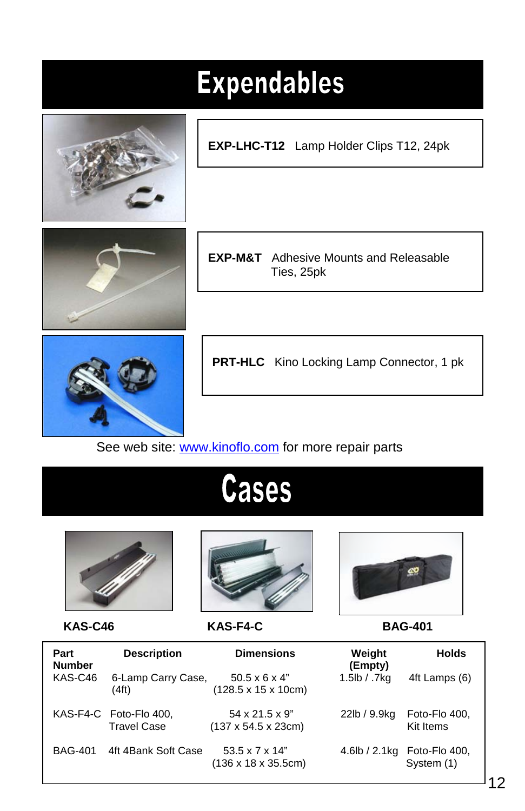| <b>Expendables</b> |                                                                 |  |  |  |
|--------------------|-----------------------------------------------------------------|--|--|--|
|                    | EXP-LHC-T12 Lamp Holder Clips T12, 24pk                         |  |  |  |
|                    |                                                                 |  |  |  |
|                    | <b>EXP-M&amp;T</b> Adhesive Mounts and Releasable<br>Ties, 25pk |  |  |  |
|                    |                                                                 |  |  |  |
|                    | <b>PRT-HLC</b> Kino Locking Lamp Connector, 1 pk                |  |  |  |

See web site: www.kinoflo.com for more repair parts

### **Cases**





 **KAS-C46 KAS-F4-C BAG-401** 



| Part<br><b>Number</b> | <b>Description</b>                           | <b>Dimensions</b>                                                      | Weight<br>(Empty) | <b>Holds</b>                |
|-----------------------|----------------------------------------------|------------------------------------------------------------------------|-------------------|-----------------------------|
| KAS-C46               | 6-Lamp Carry Case,<br>(4 <sup>ft</sup> )     | $50.5 \times 6 \times 4$ "<br>$(128.5 \times 15 \times 10 \text{cm})$  | 1.5lb / .7kg      | 4ft Lamps (6)               |
|                       | KAS-F4-C Foto-Flo 400,<br><b>Travel Case</b> | 54 x 21.5 x 9"<br>$(137 \times 54.5 \times 23$ cm)                     | 22lb / 9.9kg      | Foto-Flo 400,<br>Kit Items  |
| <b>BAG-401</b>        | 4ft 4Bank Soft Case                          | $53.5 \times 7 \times 14$ "<br>$(136 \times 18 \times 35.5 \text{cm})$ | 4.6lb / 2.1kg     | Foto-Flo 400,<br>System (1) |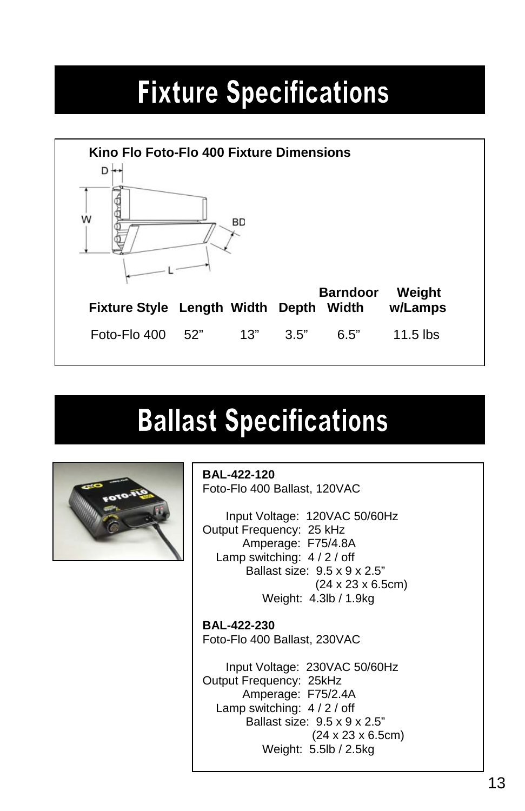### **Fixture Specifications**



#### **Ballast Specifications**



**BAL-422-120** Foto-Flo 400 Ballast, 120VAC

Input Voltage: 120VAC 50/60Hz Output Frequency: 25 kHz Amperage: F75/4.8A Lamp switching: 4 / 2 / off Ballast size: 9.5 x 9 x 2.5" (24 x 23 x 6.5cm) Weight: 4.3lb / 1.9kg

**BAL-422-230** Foto-Flo 400 Ballast, 230VAC

 Input Voltage: 230VAC 50/60Hz Output Frequency: 25kHz Amperage: F75/2.4A Lamp switching: 4 / 2 / off Ballast size: 9.5 x 9 x 2.5" (24 x 23 x 6.5cm) Weight: 5.5lb / 2.5kg